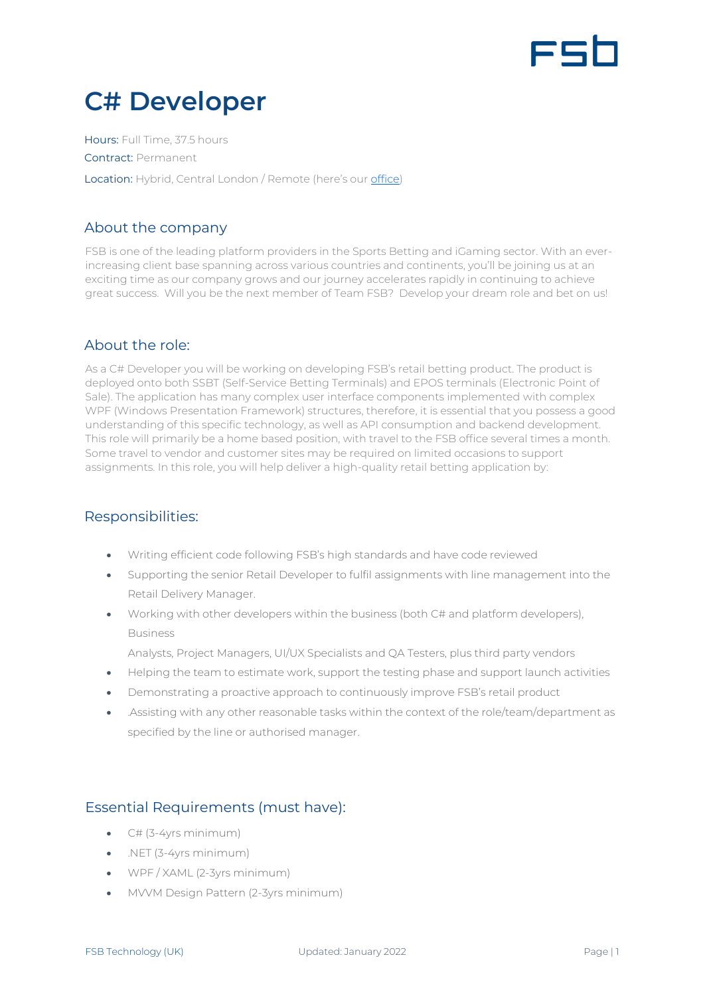

# **C# Developer**

Hours: Full Time, 37.5 hours Contract: Permanent Location: Hybrid, Central London / Remote (here's our [office\)](https://www.google.com/maps/place/Moray+house,+London/@51.5175111,-0.1425708,17z/data=!3m1!4b1!4m5!3m4!1s0x48761b2a8799d3e9:0xbc30e69c4f00c44f!8m2!3d51.5175111!4d-0.1403821)

# About the company

FSB is one of the leading platform providers in the Sports Betting and iGaming sector. With an everincreasing client base spanning across various countries and continents, you'll be joining us at an exciting time as our company grows and our journey accelerates rapidly in continuing to achieve great success. Will you be the next member of Team FSB? Develop your dream role and bet on us!

# About the role:

As a C# Developer you will be working on developing FSB's retail betting product. The product is deployed onto both SSBT (Self-Service Betting Terminals) and EPOS terminals (Electronic Point of Sale). The application has many complex user interface components implemented with complex WPF (Windows Presentation Framework) structures, therefore, it is essential that you possess a good understanding of this specific technology, as well as API consumption and backend development. This role will primarily be a home based position, with travel to the FSB office several times a month. Some travel to vendor and customer sites may be required on limited occasions to support assignments. In this role, you will help deliver a high-quality retail betting application by:

# Responsibilities:

- Writing efficient code following FSB's high standards and have code reviewed
- Supporting the senior Retail Developer to fulfil assignments with line management into the Retail Delivery Manager.
- Working with other developers within the business (both C# and platform developers), Business

Analysts, Project Managers, UI/UX Specialists and QA Testers, plus third party vendors

- Helping the team to estimate work, support the testing phase and support launch activities
- Demonstrating a proactive approach to continuously improve FSB's retail product
- .Assisting with any other reasonable tasks within the context of the role/team/department as specified by the line or authorised manager.

# Essential Requirements (must have):

- $\bullet$  C# (3-4yrs minimum)
- .NET (3-4yrs minimum)
- WPF / XAML (2-3yrs minimum)
- MVVM Design Pattern (2-3yrs minimum)